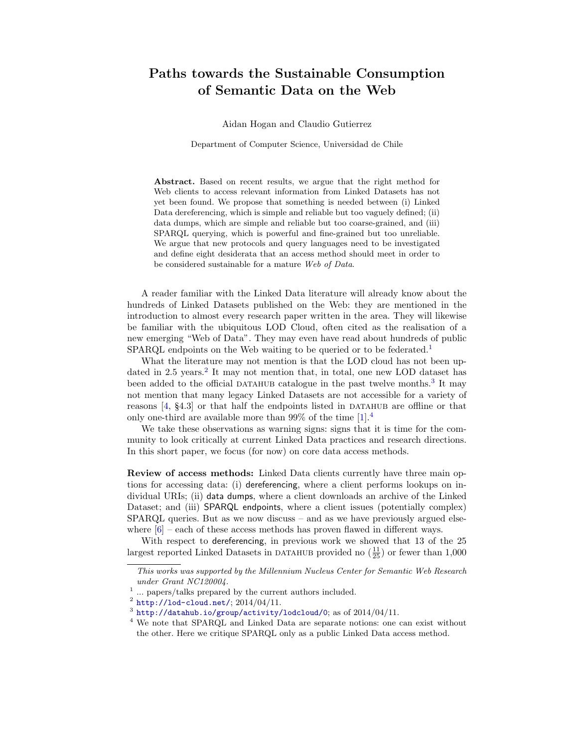## Paths towards the Sustainable Consumption of Semantic Data on the Web

Aidan Hogan and Claudio Gutierrez

Department of Computer Science, Universidad de Chile

Abstract. Based on recent results, we argue that the right method for Web clients to access relevant information from Linked Datasets has not yet been found. We propose that something is needed between (i) Linked Data dereferencing, which is simple and reliable but too vaguely defined; (ii) data dumps, which are simple and reliable but too coarse-grained, and (iii) SPARQL querying, which is powerful and fine-grained but too unreliable. We argue that new protocols and query languages need to be investigated and define eight desiderata that an access method should meet in order to be considered sustainable for a mature Web of Data.

A reader familiar with the Linked Data literature will already know about the hundreds of Linked Datasets published on the Web: they are mentioned in the introduction to almost every research paper written in the area. They will likewise be familiar with the ubiquitous LOD Cloud, often cited as the realisation of a new emerging "Web of Data". They may even have read about hundreds of public SPARQL endpoints on the Web waiting to be queried or to be federated.<sup>[1](#page-0-0)</sup>

What the literature may not mention is that the LOD cloud has not been up-dated in [2](#page-0-1).5 years.<sup>2</sup> It may not mention that, in total, one new LOD dataset has been added to the official DATAHUB catalogue in the past twelve months.<sup>[3](#page-0-2)</sup> It may not mention that many legacy Linked Datasets are not accessible for a variety of reasons  $[4, §4.3]$  $[4, §4.3]$  or that half the endpoints listed in DATAHUB are offline or that only one-third are available more than  $99\%$  of the time  $[1].<sup>4</sup>$  $[1].<sup>4</sup>$  $[1].<sup>4</sup>$  $[1].<sup>4</sup>$ 

We take these observations as warning signs: signs that it is time for the community to look critically at current Linked Data practices and research directions. In this short paper, we focus (for now) on core data access methods.

Review of access methods: Linked Data clients currently have three main options for accessing data: (i) dereferencing, where a client performs lookups on individual URIs; (ii) data dumps, where a client downloads an archive of the Linked Dataset; and (iii) SPARQL endpoints, where a client issues (potentially complex) SPARQL queries. But as we now discuss – and as we have previously argued elsewhere  $[6]$  – each of these access methods has proven flawed in different ways.

With respect to dereferencing, in previous work we showed that 13 of the 25 largest reported Linked Datasets in DATAHUB provided no  $(\frac{11}{25})$  or fewer than 1,000

This works was supported by the Millennium Nucleus Center for Semantic Web Research under Grant NC120004.

<span id="page-0-0"></span><sup>&</sup>lt;sup>1</sup> ... papers/talks prepared by the current authors included.

<span id="page-0-1"></span> $^2$  <http://lod-cloud.net/>;  $2014/04/11$ .

<span id="page-0-2"></span> $^3$  <http://datahub.io/group/activity/lodcloud/0>; as of  $2014/04/11$ .

<span id="page-0-3"></span><sup>4</sup> We note that SPARQL and Linked Data are separate notions: one can exist without the other. Here we critique SPARQL only as a public Linked Data access method.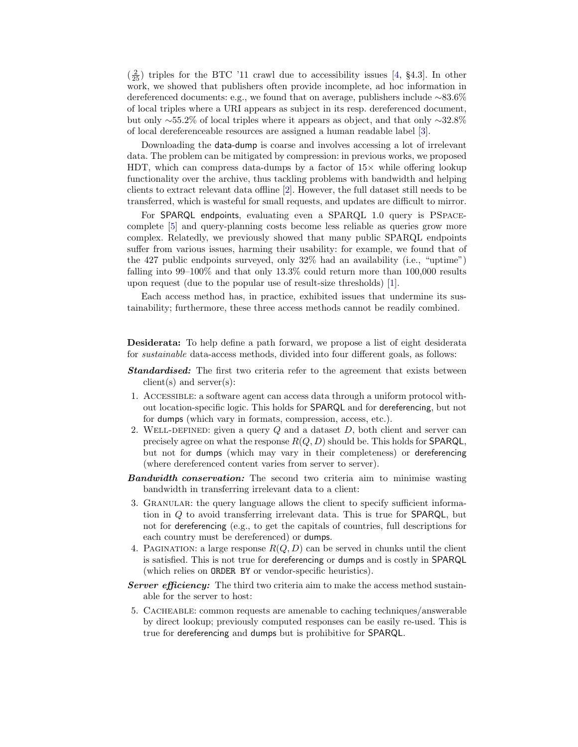$(\frac{2}{25})$  triples for the BTC '11 crawl due to accessibility issues [\[4,](#page-2-0) §4.3]. In other work, we showed that publishers often provide incomplete, ad hoc information in dereferenced documents: e.g., we found that on average, publishers include ∼83.6% of local triples where a URI appears as subject in its resp. dereferenced document, but only ∼55.2% of local triples where it appears as object, and that only ∼32.8% of local dereferenceable resources are assigned a human readable label [\[3\]](#page-2-3).

Downloading the data-dump is coarse and involves accessing a lot of irrelevant data. The problem can be mitigated by compression: in previous works, we proposed HDT, which can compress data-dumps by a factor of  $15\times$  while offering lookup functionality over the archive, thus tackling problems with bandwidth and helping clients to extract relevant data offline [\[2\]](#page-2-4). However, the full dataset still needs to be transferred, which is wasteful for small requests, and updates are difficult to mirror.

For SPARQL endpoints, evaluating even a SPARQL 1.0 query is PSPACEcomplete [\[5\]](#page-2-5) and query-planning costs become less reliable as queries grow more complex. Relatedly, we previously showed that many public SPARQL endpoints suffer from various issues, harming their usability: for example, we found that of the 427 public endpoints surveyed, only 32% had an availability (i.e., "uptime") falling into 99–100% and that only 13.3% could return more than 100,000 results upon request (due to the popular use of result-size thresholds) [\[1\]](#page-2-1).

Each access method has, in practice, exhibited issues that undermine its sustainability; furthermore, these three access methods cannot be readily combined.

Desiderata: To help define a path forward, we propose a list of eight desiderata for sustainable data-access methods, divided into four different goals, as follows:

- **Standardised:** The first two criteria refer to the agreement that exists between  $client(s)$  and server $(s)$ :
- 1. Accessible: a software agent can access data through a uniform protocol without location-specific logic. This holds for SPARQL and for dereferencing, but not for dumps (which vary in formats, compression, access, etc.).
- 2. WELL-DEFINED: given a query  $Q$  and a dataset  $D$ , both client and server can precisely agree on what the response  $R(Q, D)$  should be. This holds for **SPARQL**, but not for dumps (which may vary in their completeness) or dereferencing (where dereferenced content varies from server to server).
- **Bandwidth conservation:** The second two criteria aim to minimise wasting bandwidth in transferring irrelevant data to a client:
- 3. Granular: the query language allows the client to specify sufficient information in Q to avoid transferring irrelevant data. This is true for SPARQL, but not for dereferencing (e.g., to get the capitals of countries, full descriptions for each country must be dereferenced) or dumps.
- 4. PAGINATION: a large response  $R(Q, D)$  can be served in chunks until the client is satisfied. This is not true for dereferencing or dumps and is costly in SPARQL (which relies on ORDER BY or vendor-specific heuristics).
- **Server efficiency:** The third two criteria aim to make the access method sustainable for the server to host:
- 5. Cacheable: common requests are amenable to caching techniques/answerable by direct lookup; previously computed responses can be easily re-used. This is true for dereferencing and dumps but is prohibitive for SPARQL.